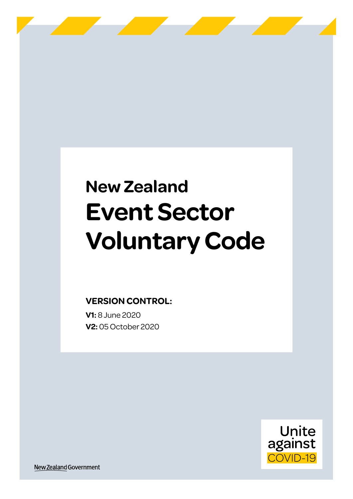# **Event Sector Voluntary Code New Zealand**

### **VERSION CONTROL:**

**V1:** 8 June 2020 **V2:** 05 October 2020



New Zealand Government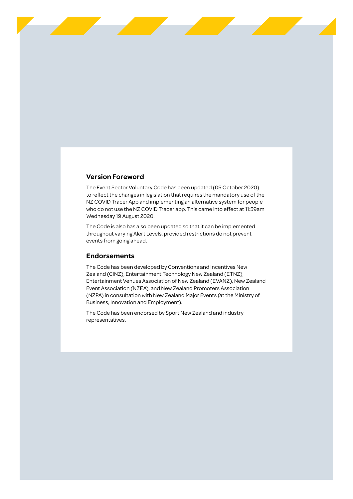#### **Version Foreword**

The Event Sector Voluntary Code has been updated (05 October 2020) to reflect the changes in legislation that requires the mandatory use of the NZ COVID Tracer App and implementing an alternative system for people who do not use the NZ COVID Tracer app. This came into effect at 11:59am Wednesday 19 August 2020.

The Code is also has also been updated so that it can be implemented throughout varying Alert Levels, provided restrictions do not prevent events from going ahead.

#### **Endorsements**

The Code has been developed by Conventions and Incentives New Zealand (CINZ), Entertainment Technology New Zealand (ETNZ), Entertainment Venues Association of New Zealand (EVANZ), New Zealand Event Association (NZEA), and New Zealand Promoters Association (NZPA) in consultation with New Zealand Major Events (at the Ministry of Business, Innovation and Employment).

The Code has been endorsed by Sport New Zealand and industry representatives.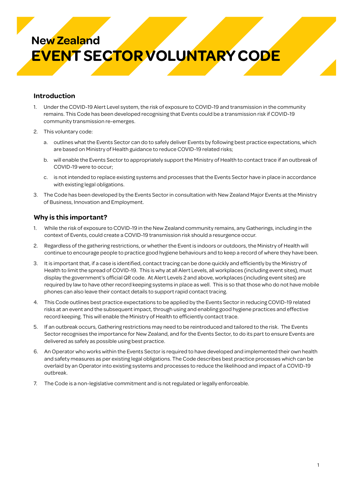## **New Zealand EVENT SECTOR VOLUNTARY CODE**

#### **Introduction**

- 1. Under the COVID-19 Alert Level system, the risk of exposure to COVID-19 and transmission in the community remains. This Code has been developed recognising that Events could be a transmission risk if COVID-19 community transmission re-emerges.
- 2. This voluntary code:
	- a. outlines what the Events Sector can do to safely deliver Events by following best practice expectations, which are based on Ministry of Health guidance to reduce COVID-19 related risks;
	- b. will enable the Events Sector to appropriately support the Ministry of Health to contact trace if an outbreak of COVID-19 were to occur;
	- c. is not intended to replace existing systems and processes that the Events Sector have in place in accordance with existing legal obligations.
- 3. The Code has been developed by the Events Sector in consultation with New Zealand Major Events at the Ministry of Business, Innovation and Employment.

#### **Why is this important?**

- 1. While the risk of exposure to COVID-19 in the New Zealand community remains, any Gatherings, including in the context of Events, could create a COVID-19 transmission risk should a resurgence occur.
- 2. Regardless of the gathering restrictions, or whether the Event is indoors or outdoors, the Ministry of Health will continue to encourage people to practice good hygiene behaviours and to keep a record of where they have been.
- 3. It is important that, if a case is identified, contact tracing can be done quickly and efficiently by the Ministry of Health to limit the spread of COVID-19. This is why at all Alert Levels, all workplaces (including event sites), must display the government's official QR code. At Alert Levels 2 and above, workplaces (including event sites) are required by law to have other record keeping systems in place as well. This is so that those who do not have mobile phones can also leave their contact details to support rapid contact tracing.
- 4. This Code outlines best practice expectations to be applied by the Events Sector in reducing COVID-19 related risks at an event and the subsequent impact, through using and enabling good hygiene practices and effective record keeping. This will enable the Ministry of Health to efficiently contact trace.
- 5. If an outbreak occurs, Gathering restrictions may need to be reintroduced and tailored to the risk. The Events Sector recognises the importance for New Zealand, and for the Events Sector, to do its part to ensure Events are delivered as safely as possible using best practice.
- 6. An Operator who works within the Events Sector is required to have developed and implemented their own health and safety measures as per existing legal obligations. The Code describes best practice processes which can be overlaid by an Operator into existing systems and processes to reduce the likelihood and impact of a COVID-19 outbreak.
- 7. The Code is a non-legislative commitment and is not regulated or legally enforceable.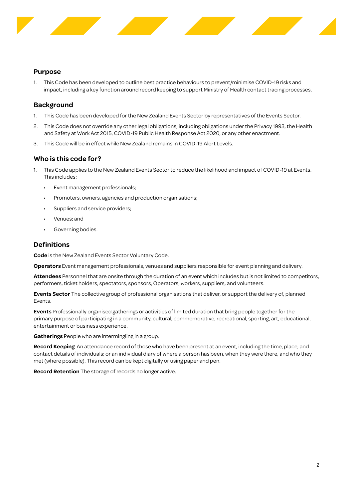

#### **Purpose**

1. This Code has been developed to outline best practice behaviours to prevent/minimise COVID-19 risks and impact, including a key function around record keeping to support Ministry of Health contact tracing processes.

#### **Background**

- 1. This Code has been developed for the New Zealand Events Sector by representatives of the Events Sector.
- 2. This Code does not override any other legal obligations, including obligations under the Privacy 1993, the Health and Safety at Work Act 2015, COVID-19 Public Health Response Act 2020, or any other enactment.
- 3. This Code will be in effect while New Zealand remains in COVID-19 Alert Levels.

#### **Who is this code for?**

- 1. This Code applies to the New Zealand Events Sector to reduce the likelihood and impact of COVID-19 at Events. This includes:
	- Event management professionals;
	- Promoters, owners, agencies and production organisations;
	- Suppliers and service providers;
	- Venues; and
	- Governing bodies.

#### **Definitions**

**Code** is the New Zealand Events Sector Voluntary Code.

**Operators** Event management professionals, venues and suppliers responsible for event planning and delivery.

**Attendees** Personnel that are onsite through the duration of an event which includes but is not limited to competitors, performers, ticket holders, spectators, sponsors, Operators, workers, suppliers, and volunteers.

**Events Sector** The collective group of professional organisations that deliver, or support the delivery of, planned Events.

**Events** Professionally organised gatherings or activities of limited duration that bring people together for the primary purpose of participating in a community, cultural, commemorative, recreational, sporting, art, educational, entertainment or business experience.

**Gatherings** People who are intermingling in a group.

**Record Keeping** An attendance record of those who have been present at an event, including the time, place, and contact details of individuals; or an individual diary of where a person has been, when they were there, and who they met (where possible). This record can be kept digitally or using paper and pen.

**Record Retention** The storage of records no longer active.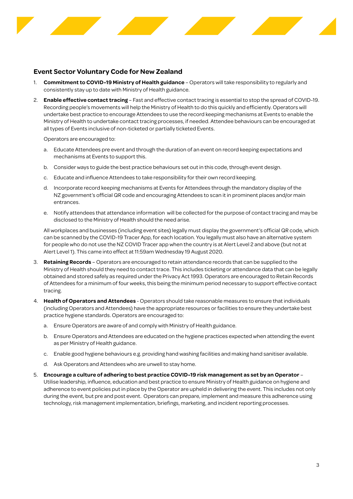

#### **Event Sector Voluntary Code for New Zealand**

- 1. **Commitment to COVID-19 Ministry of Health guidance** Operators will take responsibility to regularly and consistently stay up to date with Ministry of Health guidance.
- 2. **Enable effective contact tracing**  Fast and effective contact tracing is essential to stop the spread of COVID-19. Recording people's movements will help the Ministry of Health to do this quickly and efficiently. Operators will undertake best practice to encourage Attendees to use the record keeping mechanisms at Events to enable the Ministry of Health to undertake contact tracing processes, if needed. Attendee behaviours can be encouraged at all types of Events inclusive of non-ticketed or partially ticketed Events.

#### Operators are encouraged to:

- a. Educate Attendees pre event and through the duration of an event on record keeping expectations and mechanisms at Events to support this.
- b. Consider ways to guide the best practice behaviours set out in this code, through event design.
- c. Educate and influence Attendees to take responsibility for their own record keeping.
- d. Incorporate record keeping mechanisms at Events for Attendees through the mandatory display of the NZ government's official QR code and encouraging Attendees to scan it in prominent places and/or main entrances.
- e. Notify attendees that attendance information will be collected for the purpose of contact tracing and may be disclosed to the Ministry of Health should the need arise.

All workplaces and businesses (including event sites) legally must display the government's official QR code, which can be scanned by the COVID-19 Tracer App, for each location. You legally must also have an alternative system for people who do not use the NZ COVID Tracer app when the country is at Alert Level 2 and above (but not at Alert Level 1). This came into effect at 11:59am Wednesday 19 August 2020.

- 3. **Retaining Records** Operators are encouraged to retain attendance records that can be supplied to the Ministry of Health should they need to contact trace. This includes ticketing or attendance data that can be legally obtained and stored safely as required under the Privacy Act 1993. Operators are encouraged to Retain Records of Attendees for a minimum of four weeks, this being the minimum period necessary to support effective contact tracing.
- 4. **Health of Operators and Attendees** Operators should take reasonable measures to ensure that individuals (including Operators and Attendees) have the appropriate resources or facilities to ensure they undertake best practice hygiene standards. Operators are encouraged to:
	- a. Ensure Operators are aware of and comply with Ministry of Health guidance.
	- b. Ensure Operators and Attendees are educated on the hygiene practices expected when attending the event as per Ministry of Health guidance.
	- c. Enable good hygiene behaviours e.g. providing hand washing facilities and making hand sanitiser available.
	- d. Ask Operators and Attendees who are unwell to stay home.
- 5. **Encourage a culture of adhering to best practice COVID-19 risk management as set by an Operator** Utilise leadership, influence, education and best practice to ensure Ministry of Health guidance on hygiene and adherence to event policies put in place by the Operator are upheld in delivering the event. This includes not only during the event, but pre and post event. Operators can prepare, implement and measure this adherence using technology, risk management implementation, briefings, marketing, and incident reporting processes.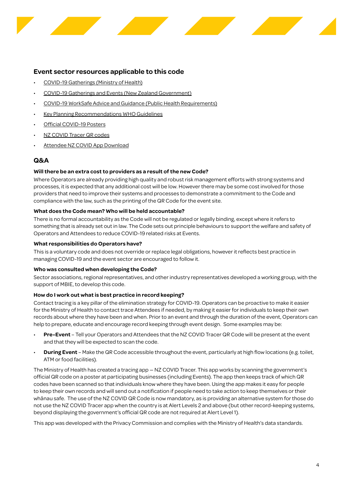

#### **Event sector resources applicable to this code**

- [COVID-19 Gatherings](https://www.health.govt.nz/our-work/diseases-and-conditions/covid-19-novel-coronavirus/covid-19-information-specific-audiences/covid-19-social-gatherings) (Ministry of Health)
- [COVID-19 Gatherings and Events \(N](https://covid19.govt.nz/everyday-life/gatherings-and-events/#event-facilities-at-alert-level-2)ew Zealand Government)
- [COVID-19 WorkSafe Advice and Guidance \(Public Health Requirements\)](https://worksafe.govt.nz/managing-health-and-safety/novel-coronavirus-covid/)
- [Key Planning Recommendations WHO Guidelines](https://www.who.int/publications/i/item/10665-332235)
- [Official COVID-19 Posters](https://covid19.govt.nz/resources/posters/)
- [NZ COVID Tracer QR codes](https://www.health.govt.nz/our-work/diseases-and-conditions/covid-19-novel-coronavirus/covid-19-novel-coronavirus-resources-and-tools/nz-covid-tracer-app/nz-covid-tracer-qr-codes#posters)
- [Attendee NZ COVID App Download](https://tracing.covid19.govt.nz/)

#### **Q&A**

#### **Will there be an extra cost to providers as a result of the new Code?**

Where Operators are already providing high quality and robust risk management efforts with strong systems and processes, it is expected that any additional cost will be low. However there may be some cost involved for those providers that need to improve their systems and processes to demonstrate a commitment to the Code and compliance with the law, such as the printing of the QR Code for the event site.

#### **What does the Code mean? Who will be held accountable?**

There is no formal accountability as the Code will not be regulated or legally binding, except where it refers to something that is already set out in law. The Code sets out principle behaviours to support the welfare and safety of Operators and Attendees to reduce COVID-19 related risks at Events.

#### **What responsibilities do Operators have?**

This is a voluntary code and does not override or replace legal obligations, however it reflects best practice in managing COVID-19 and the event sector are encouraged to follow it.

#### **Who was consulted when developing the Code?**

Sector associations, regional representatives, and other industry representatives developed a working group, with the support of MBIE, to develop this code.

#### **How do I work out what is best practice in record keeping?**

Contact tracing is a key pillar of the elimination strategy for COVID-19. Operators can be proactive to make it easier for the Ministry of Health to contact trace Attendees if needed, by making it easier for individuals to keep their own records about where they have been and when. Prior to an event and through the duration of the event, Operators can help to prepare, educate and encourage record keeping through event design. Some examples may be:

- **Pre-Event**  Tell your Operators and Attendees that the NZ COVID Tracer QR Code will be present at the event and that they will be expected to scan the code.
- **During Event**  Make the QR Code accessible throughout the event, particularly at high flow locations (e.g. toilet, ATM or food facilities).

The Ministry of Health has created a tracing app — NZ COVID Tracer. This app works by scanning the government's official QR code on a poster at participating businesses (including Events). The app then keeps track of which QR codes have been scanned so that individuals know where they have been. Using the app makes it easy for people to keep their own records and will send out a notification if people need to take action to keep themselves or their whānau safe. The use of the NZ COVID QR Code is now mandatory, as is providing an alternative system for those do not use the NZ COVID Tracer app when the country is at Alert Levels 2 and above (but other record-keeping systems, beyond displaying the government's official QR code are not required at Alert Level 1).

This app was developed with the Privacy Commission and complies with the Ministry of Health's data standards.